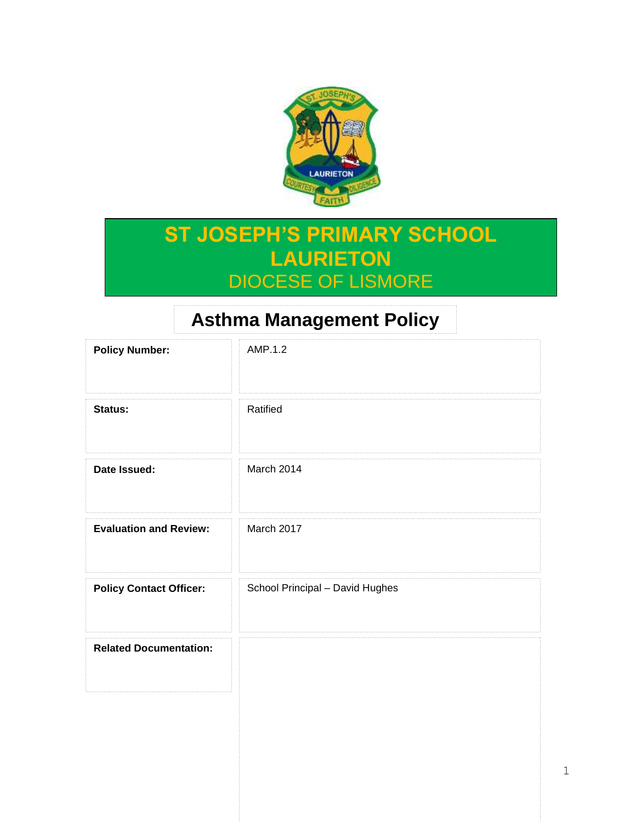

## **ST JOSEPH'S PRIMARY SCHOOL LAURIETON** DIOCESE OF LISMORE

# **Asthma Management Policy**

| <b>Policy Number:</b>          | AMP.1.2                         |
|--------------------------------|---------------------------------|
| Status:                        | Ratified                        |
| Date Issued:                   | March 2014                      |
| <b>Evaluation and Review:</b>  | March 2017                      |
| <b>Policy Contact Officer:</b> | School Principal - David Hughes |
| <b>Related Documentation:</b>  |                                 |
|                                |                                 |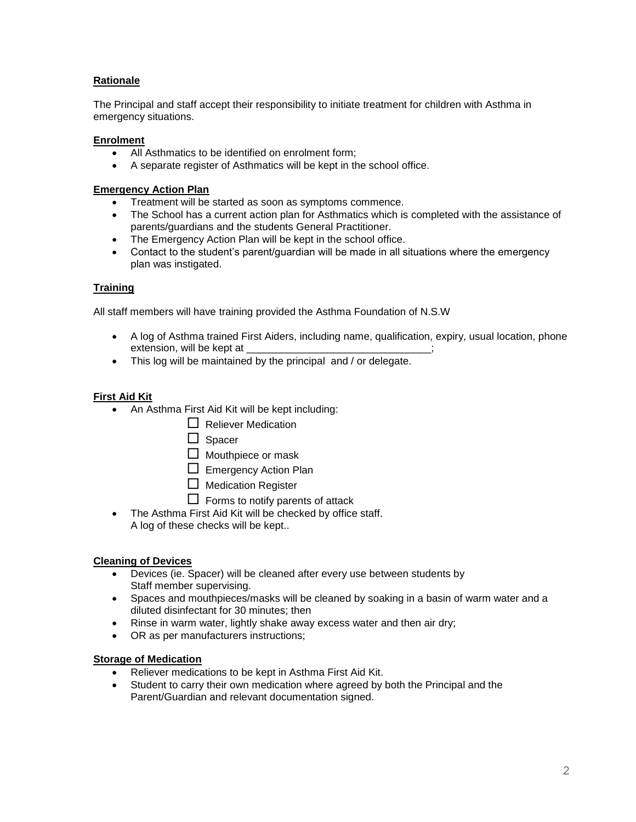## **Rationale**

The Principal and staff accept their responsibility to initiate treatment for children with Asthma in emergency situations.

#### **Enrolment**

- All Asthmatics to be identified on enrolment form;
- A separate register of Asthmatics will be kept in the school office.

#### **Emergency Action Plan**

- Treatment will be started as soon as symptoms commence.
- The School has a current action plan for Asthmatics which is completed with the assistance of parents/guardians and the students General Practitioner.
- The Emergency Action Plan will be kept in the school office.
- Contact to the student's parent/guardian will be made in all situations where the emergency plan was instigated.

#### **Training**

All staff members will have training provided the Asthma Foundation of N.S.W

- A log of Asthma trained First Aiders, including name, qualification, expiry, usual location, phone extension, will be kept at
- This log will be maintained by the principal and / or delegate.

#### **First Aid Kit**

- An Asthma First Aid Kit will be kept including:
	- $\Box$  Reliever Medication
	- $\Box$  Spacer
	- $\Box$  Mouthpiece or mask
	- $\Box$  Emergency Action Plan
	- $\Box$  Medication Register
	- $\Box$  Forms to notify parents of attack
- The Asthma First Aid Kit will be checked by office staff.

A log of these checks will be kept..

#### **Cleaning of Devices**

- Devices (ie. Spacer) will be cleaned after every use between students by Staff member supervising.
- Spaces and mouthpieces/masks will be cleaned by soaking in a basin of warm water and a diluted disinfectant for 30 minutes; then
- Rinse in warm water, lightly shake away excess water and then air dry;
- OR as per manufacturers instructions;

#### **Storage of Medication**

- Reliever medications to be kept in Asthma First Aid Kit.
- Student to carry their own medication where agreed by both the Principal and the Parent/Guardian and relevant documentation signed.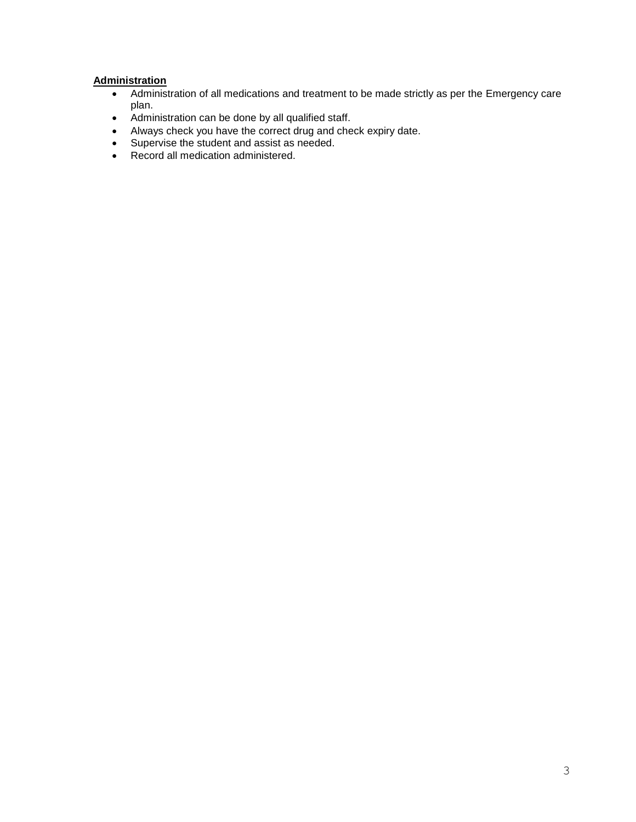## **Administration**

- Administration of all medications and treatment to be made strictly as per the Emergency care plan.
- Administration can be done by all qualified staff.
- Always check you have the correct drug and check expiry date.
- Supervise the student and assist as needed.
- Record all medication administered.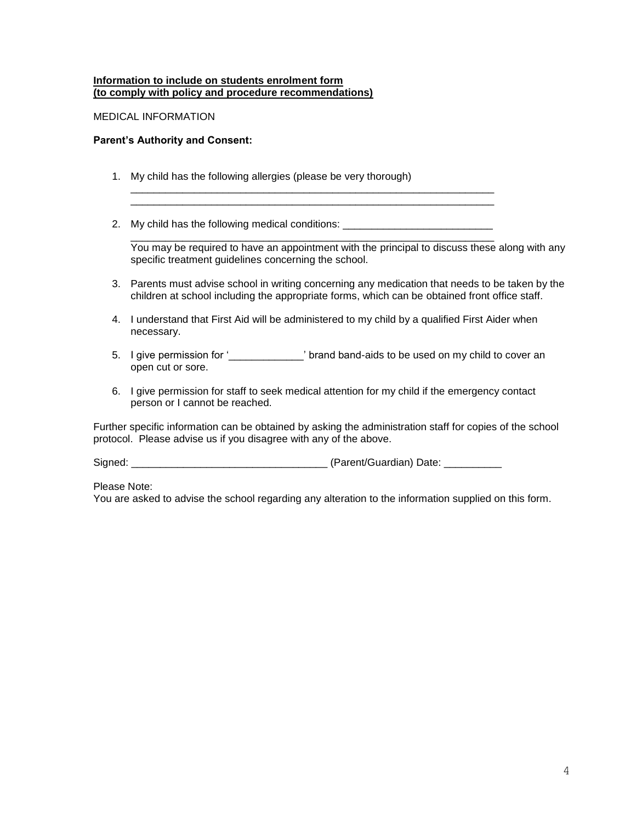#### **Information to include on students enrolment form (to comply with policy and procedure recommendations)**

#### MEDICAL INFORMATION

#### **Parent's Authority and Consent:**

- 1. My child has the following allergies (please be very thorough)
- 2. My child has the following medical conditions:

\_\_\_\_\_\_\_\_\_\_\_\_\_\_\_\_\_\_\_\_\_\_\_\_\_\_\_\_\_\_\_\_\_\_\_\_\_\_\_\_\_\_\_\_\_\_\_\_\_\_\_\_\_\_\_\_\_\_\_\_\_\_\_ You may be required to have an appointment with the principal to discuss these along with any specific treatment guidelines concerning the school.

- 3. Parents must advise school in writing concerning any medication that needs to be taken by the children at school including the appropriate forms, which can be obtained front office staff.
- 4. I understand that First Aid will be administered to my child by a qualified First Aider when necessary.

\_\_\_\_\_\_\_\_\_\_\_\_\_\_\_\_\_\_\_\_\_\_\_\_\_\_\_\_\_\_\_\_\_\_\_\_\_\_\_\_\_\_\_\_\_\_\_\_\_\_\_\_\_\_\_\_\_\_\_\_\_\_\_ \_\_\_\_\_\_\_\_\_\_\_\_\_\_\_\_\_\_\_\_\_\_\_\_\_\_\_\_\_\_\_\_\_\_\_\_\_\_\_\_\_\_\_\_\_\_\_\_\_\_\_\_\_\_\_\_\_\_\_\_\_\_\_

- 5. I give permission for '\_\_\_\_\_\_\_\_\_\_\_\_\_\_' brand band-aids to be used on my child to cover an open cut or sore.
- 6. I give permission for staff to seek medical attention for my child if the emergency contact person or I cannot be reached.

Further specific information can be obtained by asking the administration staff for copies of the school protocol. Please advise us if you disagree with any of the above.

Signed: \_\_\_\_\_\_\_\_\_\_\_\_\_\_\_\_\_\_\_\_\_\_\_\_\_\_\_\_\_\_\_\_\_\_ (Parent/Guardian) Date: \_\_\_\_\_\_\_\_\_\_

Please Note:

You are asked to advise the school regarding any alteration to the information supplied on this form.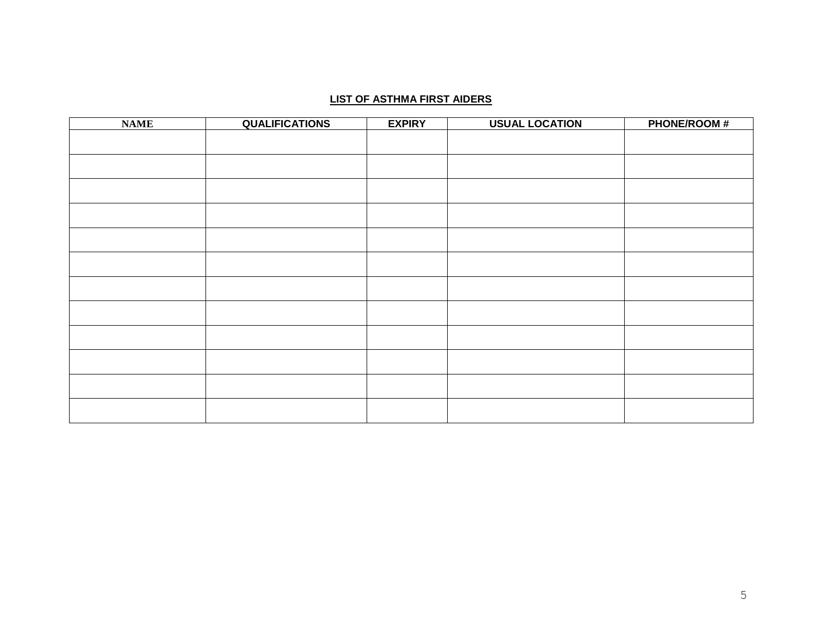#### **LIST OF ASTHMA FIRST AIDERS**

| <b>NAME</b> | <b>QUALIFICATIONS</b> | <b>EXPIRY</b> | <b>USUAL LOCATION</b> | <b>PHONE/ROOM#</b> |
|-------------|-----------------------|---------------|-----------------------|--------------------|
|             |                       |               |                       |                    |
|             |                       |               |                       |                    |
|             |                       |               |                       |                    |
|             |                       |               |                       |                    |
|             |                       |               |                       |                    |
|             |                       |               |                       |                    |
|             |                       |               |                       |                    |
|             |                       |               |                       |                    |
|             |                       |               |                       |                    |
|             |                       |               |                       |                    |
|             |                       |               |                       |                    |
|             |                       |               |                       |                    |
|             |                       |               |                       |                    |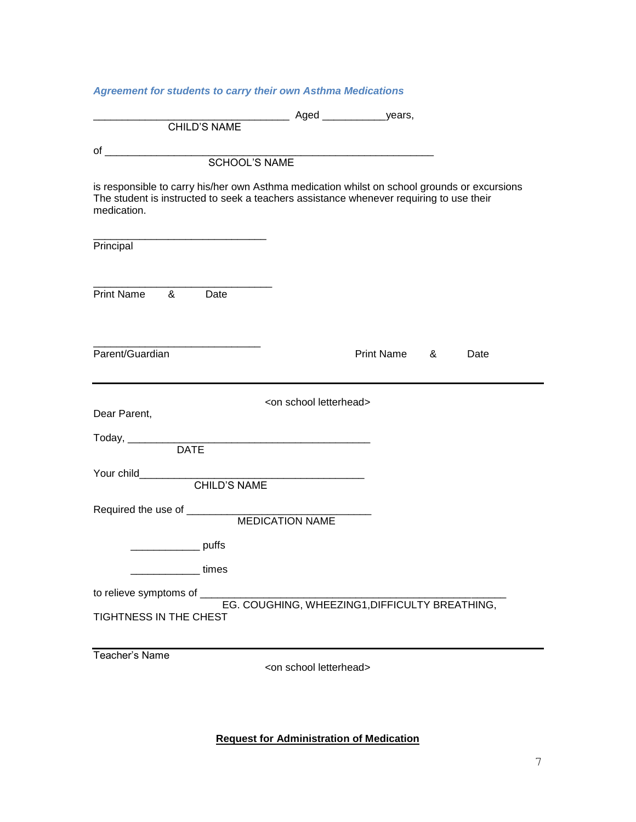*Agreement for students to carry their own Asthma Medications* \_\_\_\_\_\_\_\_\_\_\_\_\_\_\_\_\_\_\_\_\_\_\_\_\_\_\_\_\_\_\_\_\_\_ Aged \_\_\_\_\_\_\_\_\_\_\_years, CHILD'S NAME of \_\_\_\_\_\_\_\_\_\_\_\_\_\_\_\_\_\_\_\_\_\_\_\_\_\_\_\_\_\_\_\_\_\_\_\_\_\_\_\_\_\_\_\_\_\_\_\_\_\_\_\_\_\_\_\_\_ SCHOOL'S NAME is responsible to carry his/her own Asthma medication whilst on school grounds or excursions The student is instructed to seek a teachers assistance whenever requiring to use their medication. \_\_\_\_\_\_\_\_\_\_\_\_\_\_\_\_\_\_\_\_\_\_\_\_\_\_\_\_\_\_ **Principal** \_\_\_\_\_\_\_\_\_\_\_\_\_\_\_\_\_\_\_\_\_\_\_\_\_\_\_\_\_\_\_ Print Name & Date \_\_\_\_\_\_\_\_\_\_\_\_\_\_\_\_\_\_\_\_\_\_\_\_\_\_\_\_\_ Parent/Guardian **Prince A** Date Print Name 8 Date <on school letterhead> Dear Parent, Today, \_\_\_\_\_\_\_\_\_\_\_\_\_\_\_\_\_\_\_\_\_\_\_\_\_\_\_\_\_\_\_\_\_\_\_\_\_\_\_\_\_\_ DATE Your child CHILD'S NAME Required the use of \_\_\_\_\_\_\_\_\_\_\_\_\_\_\_\_\_\_\_\_\_\_\_\_\_\_\_\_\_\_\_\_ MEDICATION NAME \_\_\_\_\_\_\_\_\_\_\_\_ puffs \_\_\_\_\_\_\_\_\_\_\_\_ times to relieve symptoms of \_\_\_\_ EG. COUGHING, WHEEZING1,DIFFICULTY BREATHING, TIGHTNESS IN THE CHEST Teacher's Name <on school letterhead>

**Request for Administration of Medication**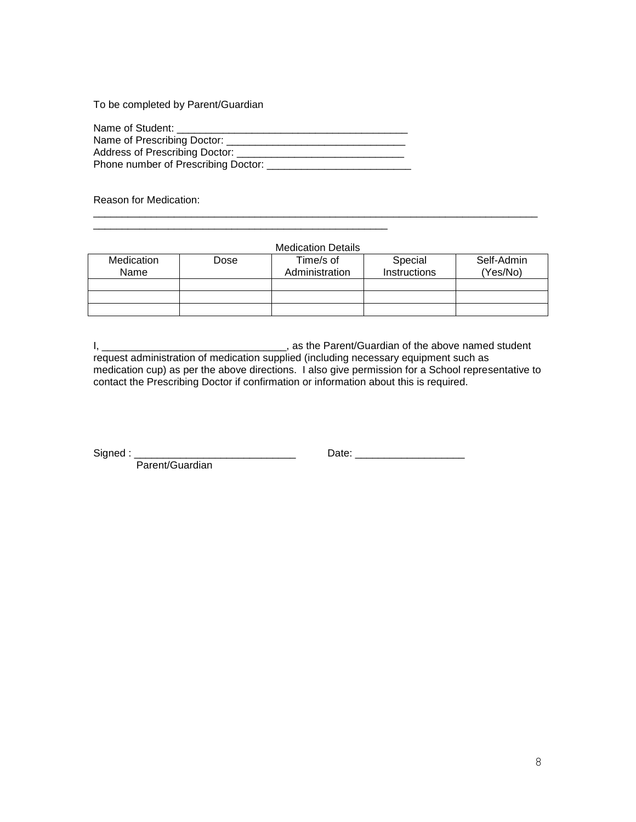To be completed by Parent/Guardian

Name of Student: \_\_\_\_\_\_\_\_\_\_\_\_\_\_\_\_\_\_\_\_\_\_\_\_\_\_\_\_\_\_\_\_\_\_\_\_\_\_\_\_ Name of Prescribing Doctor: \_\_\_\_\_\_\_\_\_\_\_\_\_\_\_\_\_\_\_\_\_\_\_\_\_\_\_\_\_\_\_ Address of Prescribing Doctor: \_\_\_\_\_\_\_\_\_\_\_\_\_\_\_\_\_\_\_\_\_\_\_\_\_\_\_\_\_ Phone number of Prescribing Doctor: \_\_\_\_\_\_\_\_\_\_\_\_\_\_\_\_\_\_\_\_\_\_\_\_\_

\_\_\_\_\_\_\_\_\_\_\_\_\_\_\_\_\_\_\_\_\_\_\_\_\_\_\_\_\_\_\_\_\_\_\_\_\_\_\_\_\_\_\_\_\_\_\_\_\_\_\_

Reason for Medication:

| <b>Medication Details</b> |      |                |              |            |  |  |
|---------------------------|------|----------------|--------------|------------|--|--|
| Medication                | Dose | Time/s of      | Special      | Self-Admin |  |  |
| Name                      |      | Administration | Instructions | (Yes/No)   |  |  |
|                           |      |                |              |            |  |  |
|                           |      |                |              |            |  |  |
|                           |      |                |              |            |  |  |

\_\_\_\_\_\_\_\_\_\_\_\_\_\_\_\_\_\_\_\_\_\_\_\_\_\_\_\_\_\_\_\_\_\_\_\_\_\_\_\_\_\_\_\_\_\_\_\_\_\_\_\_\_\_\_\_\_\_\_\_\_\_\_\_\_\_\_\_\_\_\_\_\_\_\_\_\_

I, \_\_\_\_\_\_\_\_\_\_\_\_\_\_\_\_\_\_\_\_\_\_\_\_\_\_\_\_\_\_\_\_, as the Parent/Guardian of the above named student request administration of medication supplied (including necessary equipment such as medication cup) as per the above directions. I also give permission for a School representative to contact the Prescribing Doctor if confirmation or information about this is required.

Parent/Guardian

Signed : \_\_\_\_\_\_\_\_\_\_\_\_\_\_\_\_\_\_\_\_\_\_\_\_\_\_\_\_\_\_\_\_\_ Date: \_\_\_\_\_\_\_\_\_\_\_\_\_\_\_\_\_\_\_\_\_\_\_\_\_\_\_\_\_